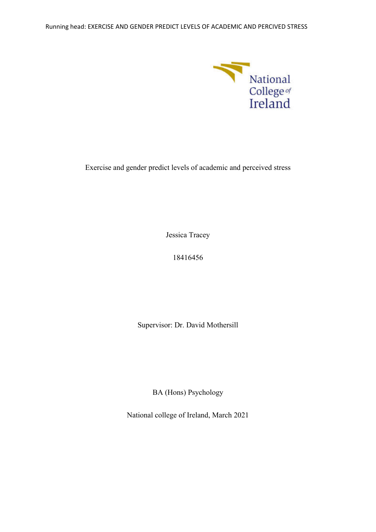

Exercise and gender predict levels of academic and perceived stress

Jessica Tracey

18416456

Supervisor: Dr. David Mothersill

BA (Hons) Psychology

National college of Ireland, March 2021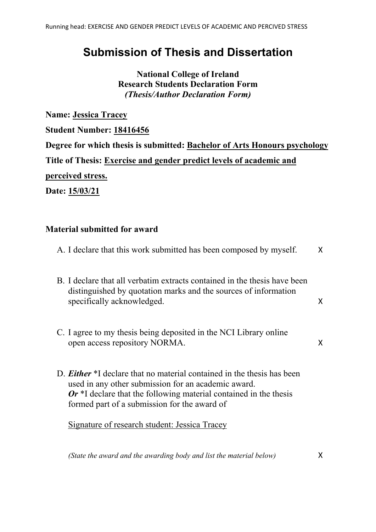# **Submission of Thesis and Dissertation**

**National College of Ireland Research Students Declaration Form** *(Thesis/Author Declaration Form)*

**Name: Jessica Tracey Student Number: 18416456 Degree for which thesis is submitted: Bachelor of Arts Honours psychology Title of Thesis: Exercise and gender predict levels of academic and perceived stress.**

**Date: 15/03/21**

## **Material submitted for award**

| A. I declare that this work submitted has been composed by myself.                                                                                                                                                                                          | X  |
|-------------------------------------------------------------------------------------------------------------------------------------------------------------------------------------------------------------------------------------------------------------|----|
| B. I declare that all verbatim extracts contained in the thesis have been<br>distinguished by quotation marks and the sources of information<br>specifically acknowledged.                                                                                  | X  |
| C. I agree to my thesis being deposited in the NCI Library online<br>open access repository NORMA.                                                                                                                                                          | X  |
| D. <b>Either</b> *I declare that no material contained in the thesis has been<br>used in any other submission for an academic award.<br>$Or$ *I declare that the following material contained in the thesis<br>formed part of a submission for the award of |    |
| Signature of research student: Jessica Tracey                                                                                                                                                                                                               |    |
| (State the award and the awarding body and list the material below)                                                                                                                                                                                         | X. |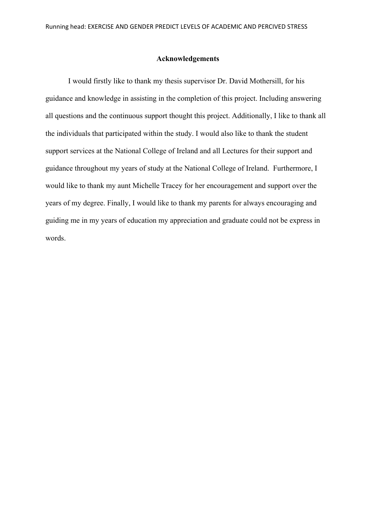#### **Acknowledgements**

I would firstly like to thank my thesis supervisor Dr. David Mothersill, for his guidance and knowledge in assisting in the completion of this project. Including answering all questions and the continuous support thought this project. Additionally, I like to thank all the individuals that participated within the study. I would also like to thank the student support services at the National College of Ireland and all Lectures for their support and guidance throughout my years of study at the National College of Ireland. Furthermore, I would like to thank my aunt Michelle Tracey for her encouragement and support over the years of my degree. Finally, I would like to thank my parents for always encouraging and guiding me in my years of education my appreciation and graduate could not be express in words.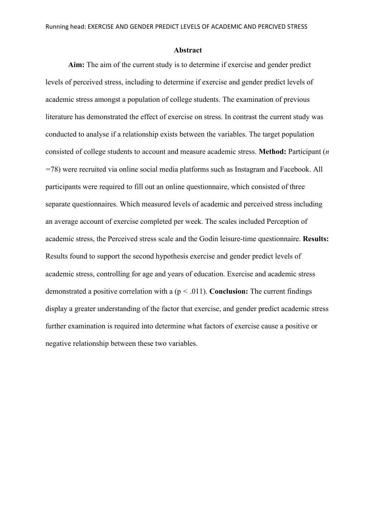#### **Abstract**

**Aim:** The aim of the current study is to determine if exercise and gender predict levels of perceived stress, including to determine if exercise and gender predict levels of academic stress amongst a population of college students. The examination of previous literature has demonstrated the effect of exercise on stress. In contrast the current study was conducted to analyse if a relationship exists between the variables. The target population consisted of college students to account and measure academic stress. **Method:** Participant (*n =*78) were recruited via online social media platforms such as Instagram and Facebook. All participants were required to fill out an online questionnaire, which consisted of three separate questionnaires. Which measured levels of academic and perceived stress including an average account of exercise completed per week. The scales included Perception of academic stress, the Perceived stress scale and the Godin leisure-time questionnaire. **Results:** Results found to support the second hypothesis exercise and gender predict levels of academic stress, controlling for age and years of education. Exercise and academic stress demonstrated a positive correlation with a (p *<* .011). **Conclusion:** The current findings display a greater understanding of the factor that exercise, and gender predict academic stress further examination is required into determine what factors of exercise cause a positive or negative relationship between these two variables.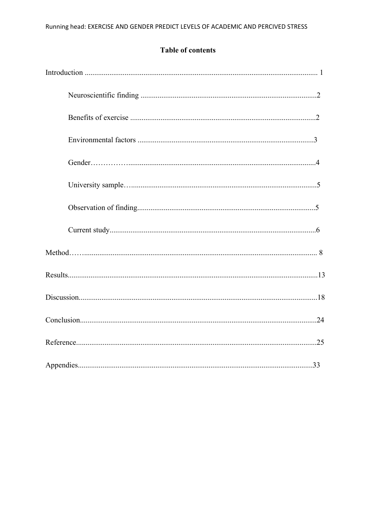## **Table of contents**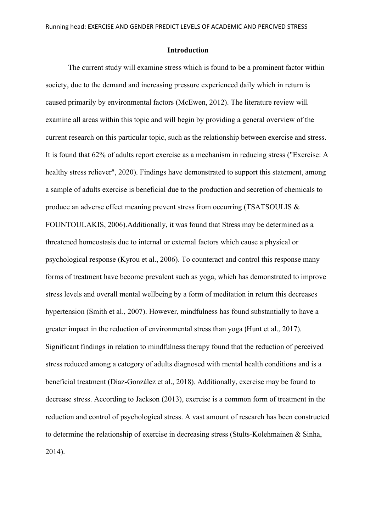#### **Introduction**

The current study will examine stress which is found to be a prominent factor within society, due to the demand and increasing pressure experienced daily which in return is caused primarily by environmental factors (McEwen, 2012). The literature review will examine all areas within this topic and will begin by providing a general overview of the current research on this particular topic, such as the relationship between exercise and stress. It is found that 62% of adults report exercise as a mechanism in reducing stress ("Exercise: A healthy stress reliever", 2020). Findings have demonstrated to support this statement, among a sample of adults exercise is beneficial due to the production and secretion of chemicals to produce an adverse effect meaning prevent stress from occurring (TSATSOULIS & FOUNTOULAKIS, 2006).Additionally, it was found that Stress may be determined as a threatened homeostasis due to internal or external factors which cause a physical or psychological response (Kyrou et al., 2006). To counteract and control this response many forms of treatment have become prevalent such as yoga, which has demonstrated to improve stress levels and overall mental wellbeing by a form of meditation in return this decreases hypertension (Smith et al., 2007). However, mindfulness has found substantially to have a greater impact in the reduction of environmental stress than yoga (Hunt et al., 2017). Significant findings in relation to mindfulness therapy found that the reduction of perceived stress reduced among a category of adults diagnosed with mental health conditions and is a beneficial treatment (Díaz-González et al., 2018). Additionally, exercise may be found to decrease stress. According to Jackson (2013), exercise is a common form of treatment in the reduction and control of psychological stress. A vast amount of research has been constructed to determine the relationship of exercise in decreasing stress (Stults-Kolehmainen & Sinha, 2014).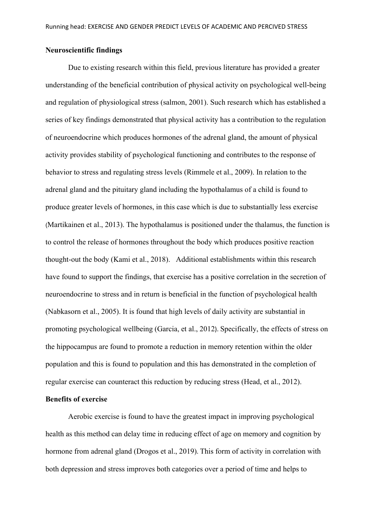#### **Neuroscientific findings**

Due to existing research within this field, previous literature has provided a greater understanding of the beneficial contribution of physical activity on psychological well-being and regulation of physiological stress (salmon, 2001). Such research which has established a series of key findings demonstrated that physical activity has a contribution to the regulation of neuroendocrine which produces hormones of the adrenal gland, the amount of physical activity provides stability of psychological functioning and contributes to the response of behavior to stress and regulating stress levels (Rimmele et al., 2009). In relation to the adrenal gland and the pituitary gland including the hypothalamus of a child is found to produce greater levels of hormones, in this case which is due to substantially less exercise (Martikainen et al., 2013). The hypothalamus is positioned under the thalamus, the function is to control the release of hormones throughout the body which produces positive reaction thought-out the body (Kami et al., 2018). Additional establishments within this research have found to support the findings, that exercise has a positive correlation in the secretion of neuroendocrine to stress and in return is beneficial in the function of psychological health (Nabkasorn et al., 2005). It is found that high levels of daily activity are substantial in promoting psychological wellbeing (Garcia, et al., 2012). Specifically, the effects of stress on the hippocampus are found to promote a reduction in memory retention within the older population and this is found to population and this has demonstrated in the completion of regular exercise can counteract this reduction by reducing stress (Head, et al., 2012).

## **Benefits of exercise**

Aerobic exercise is found to have the greatest impact in improving psychological health as this method can delay time in reducing effect of age on memory and cognition by hormone from adrenal gland (Drogos et al., 2019). This form of activity in correlation with both depression and stress improves both categories over a period of time and helps to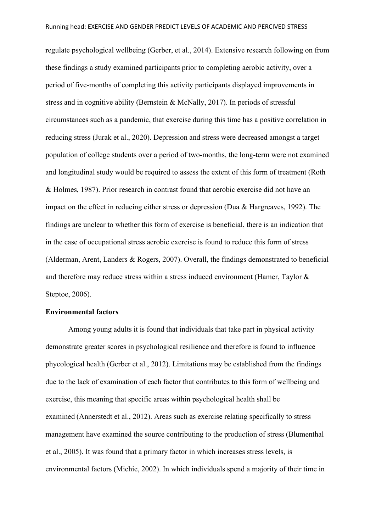regulate psychological wellbeing (Gerber, et al., 2014). Extensive research following on from these findings a study examined participants prior to completing aerobic activity, over a period of five-months of completing this activity participants displayed improvements in stress and in cognitive ability (Bernstein & McNally, 2017). In periods of stressful circumstances such as a pandemic, that exercise during this time has a positive correlation in reducing stress (Jurak et al., 2020). Depression and stress were decreased amongst a target population of college students over a period of two-months, the long-term were not examined and longitudinal study would be required to assess the extent of this form of treatment (Roth & Holmes, 1987). Prior research in contrast found that aerobic exercise did not have an impact on the effect in reducing either stress or depression (Dua & Hargreaves, 1992). The findings are unclear to whether this form of exercise is beneficial, there is an indication that in the case of occupational stress aerobic exercise is found to reduce this form of stress (Alderman, Arent, Landers & Rogers, 2007). Overall, the findings demonstrated to beneficial and therefore may reduce stress within a stress induced environment (Hamer, Taylor & Steptoe, 2006).

#### **Environmental factors**

Among young adults it is found that individuals that take part in physical activity demonstrate greater scores in psychological resilience and therefore is found to influence phycological health (Gerber et al., 2012). Limitations may be established from the findings due to the lack of examination of each factor that contributes to this form of wellbeing and exercise, this meaning that specific areas within psychological health shall be examined (Annerstedt et al., 2012). Areas such as exercise relating specifically to stress management have examined the source contributing to the production of stress (Blumenthal et al., 2005). It was found that a primary factor in which increases stress levels, is environmental factors (Michie, 2002). In which individuals spend a majority of their time in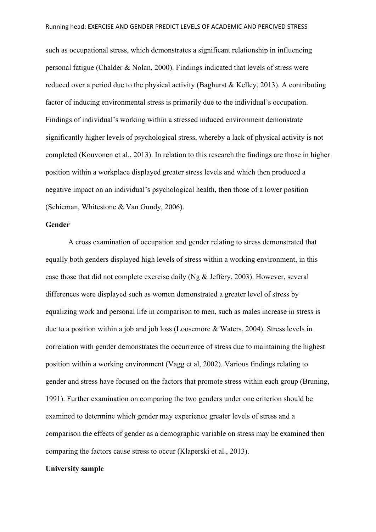such as occupational stress, which demonstrates a significant relationship in influencing personal fatigue (Chalder & Nolan, 2000). Findings indicated that levels of stress were reduced over a period due to the physical activity (Baghurst & Kelley, 2013). A contributing factor of inducing environmental stress is primarily due to the individual's occupation. Findings of individual's working within a stressed induced environment demonstrate significantly higher levels of psychological stress, whereby a lack of physical activity is not completed (Kouvonen et al., 2013). In relation to this research the findings are those in higher position within a workplace displayed greater stress levels and which then produced a negative impact on an individual's psychological health, then those of a lower position (Schieman, Whitestone & Van Gundy, 2006).

## **Gender**

A cross examination of occupation and gender relating to stress demonstrated that equally both genders displayed high levels of stress within a working environment, in this case those that did not complete exercise daily (Ng & Jeffery, 2003). However, several differences were displayed such as women demonstrated a greater level of stress by equalizing work and personal life in comparison to men, such as males increase in stress is due to a position within a job and job loss (Loosemore & Waters, 2004). Stress levels in correlation with gender demonstrates the occurrence of stress due to maintaining the highest position within a working environment (Vagg et al, 2002). Various findings relating to gender and stress have focused on the factors that promote stress within each group (Bruning, 1991). Further examination on comparing the two genders under one criterion should be examined to determine which gender may experience greater levels of stress and a comparison the effects of gender as a demographic variable on stress may be examined then comparing the factors cause stress to occur (Klaperski et al., 2013).

## **University sample**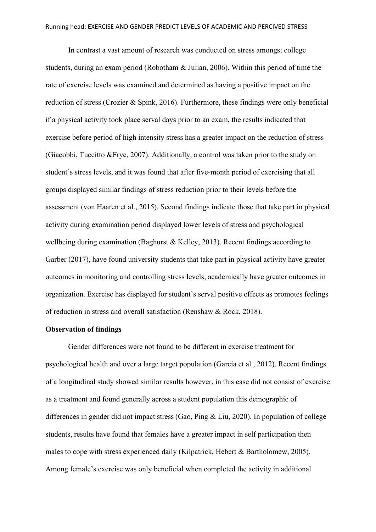In contrast a vast amount of research was conducted on stress amongst college students, during an exam period (Robotham & Julian, 2006). Within this period of time the rate of exercise levels was examined and determined as having a positive impact on the reduction of stress (Crozier & Spink, 2016). Furthermore, these findings were only beneficial if a physical activity took place serval days prior to an exam, the results indicated that exercise before period of high intensity stress has a greater impact on the reduction of stress (Giacobbi, Tuccitto &Frye, 2007). Additionally, a control was taken prior to the study on student's stress levels, and it was found that after five-month period of exercising that all groups displayed similar findings of stress reduction prior to their levels before the assessment (von Haaren et al., 2015). Second findings indicate those that take part in physical activity during examination period displayed lower levels of stress and psychological wellbeing during examination (Baghurst & Kelley, 2013). Recent findings according to Garber (2017), have found university students that take part in physical activity have greater outcomes in monitoring and controlling stress levels, academically have greater outcomes in organization. Exercise has displayed for student's serval positive effects as promotes feelings of reduction in stress and overall satisfaction (Renshaw & Rock, 2018).

## **Observation of findings**

Gender differences were not found to be different in exercise treatment for psychological health and over a large target population (Garcia et al., 2012). Recent findings of a longitudinal study showed similar results however, in this case did not consist of exercise as a treatment and found generally across a student population this demographic of differences in gender did not impact stress (Gao, Ping & Liu, 2020). In population of college students, results have found that females have a greater impact in self participation then males to cope with stress experienced daily (Kilpatrick, Hebert & Bartholomew, 2005). Among female's exercise was only beneficial when completed the activity in additional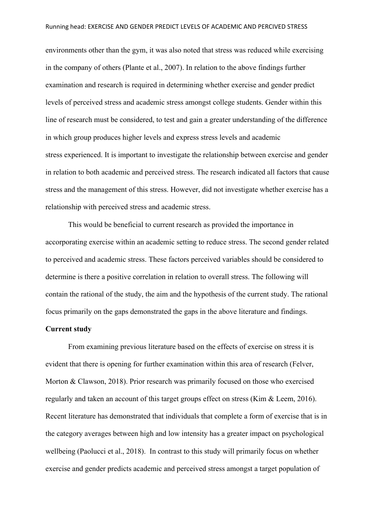environments other than the gym, it was also noted that stress was reduced while exercising in the company of others (Plante et al., 2007). In relation to the above findings further examination and research is required in determining whether exercise and gender predict levels of perceived stress and academic stress amongst college students. Gender within this line of research must be considered, to test and gain a greater understanding of the difference in which group produces higher levels and express stress levels and academic stress experienced. It is important to investigate the relationship between exercise and gender in relation to both academic and perceived stress. The research indicated all factors that cause stress and the management of this stress. However, did not investigate whether exercise has a relationship with perceived stress and academic stress.

This would be beneficial to current research as provided the importance in accorporating exercise within an academic setting to reduce stress. The second gender related to perceived and academic stress. These factors perceived variables should be considered to determine is there a positive correlation in relation to overall stress. The following will contain the rational of the study, the aim and the hypothesis of the current study. The rational focus primarily on the gaps demonstrated the gaps in the above literature and findings.

#### **Current study**

From examining previous literature based on the effects of exercise on stress it is evident that there is opening for further examination within this area of research (Felver, Morton & Clawson, 2018). Prior research was primarily focused on those who exercised regularly and taken an account of this target groups effect on stress (Kim & Leem, 2016). Recent literature has demonstrated that individuals that complete a form of exercise that is in the category averages between high and low intensity has a greater impact on psychological wellbeing (Paolucci et al., 2018). In contrast to this study will primarily focus on whether exercise and gender predicts academic and perceived stress amongst a target population of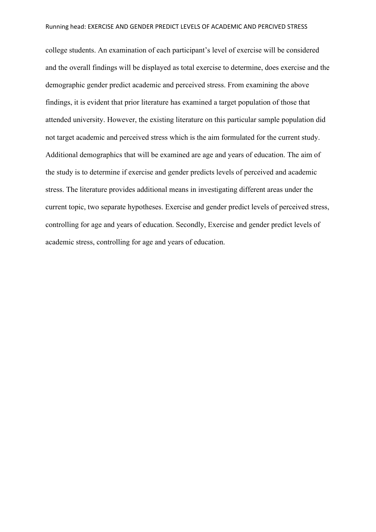college students. An examination of each participant's level of exercise will be considered and the overall findings will be displayed as total exercise to determine, does exercise and the demographic gender predict academic and perceived stress. From examining the above findings, it is evident that prior literature has examined a target population of those that attended university. However, the existing literature on this particular sample population did not target academic and perceived stress which is the aim formulated for the current study. Additional demographics that will be examined are age and years of education. The aim of the study is to determine if exercise and gender predicts levels of perceived and academic stress. The literature provides additional means in investigating different areas under the current topic, two separate hypotheses. Exercise and gender predict levels of perceived stress, controlling for age and years of education. Secondly, Exercise and gender predict levels of academic stress, controlling for age and years of education.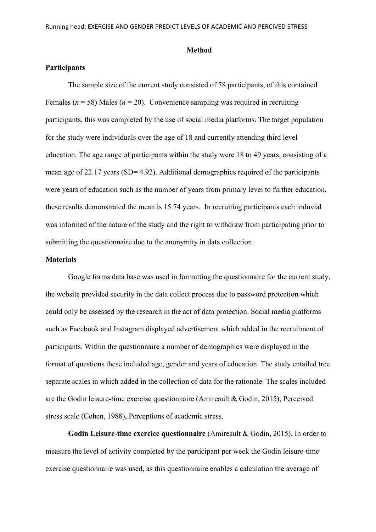#### **Method**

#### **Participants**

The sample size of the current study consisted of 78 participants, of this contained Females ( $n = 58$ ) Males ( $n = 20$ ). Convenience sampling was required in recruiting participants, this was completed by the use of social media platforms. The target population for the study were individuals over the age of 18 and currently attending third level education. The age range of participants within the study were 18 to 49 years, consisting of a mean age of 22.17 years (SD= 4.92). Additional demographics required of the participants were years of education such as the number of years from primary level to further education, these results demonstrated the mean is 15.74 years. In recruiting participants each induvial was informed of the nature of the study and the right to withdraw from participating prior to submitting the questionnaire due to the anonymity in data collection.

## **Materials**

Google forms data base was used in formatting the questionnaire for the current study, the website provided security in the data collect process due to password protection which could only be assessed by the research in the act of data protection. Social media platforms such as Facebook and Instagram displayed advertisement which added in the recruitment of participants. Within the questionnaire a number of demographics were displayed in the format of questions these included age, gender and years of education. The study entailed tree separate scales in which added in the collection of data for the rationale. The scales included are the Godin leisure-time exercise questionnaire (Amireault & Godin, 2015), Perceived stress scale (Cohen, 1988), Perceptions of academic stress.

**Godin Leisure-time exercice questionnaire** (Amireault & Godin, 2015). In [order](https://studentncirl-my.sharepoint.com/personal/x18416456_student_ncirl_ie/Documents/Document27.docx?web=1) to measure the level of activity completed by the participant per week the Godin leisure-time exercise questionnaire was used, as this questionnaire enables a calculation the average of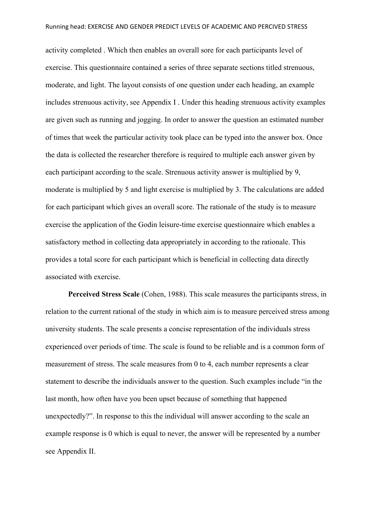activity completed . Which then enables an overall sore for each participants level of exercise. This questionnaire contained a series of three separate sections titled strenuous, moderate, and light. The layout consists of one question under each heading, an example includes strenuous activity, see Appendix I . Under this heading strenuous activity examples are given such as running and jogging. In order to answer the question an estimated number of times that week the particular activity took place can be typed into the answer box. Once the data is collected the researcher therefore is required to multiple each answer given by each participant according to the scale. Strenuous activity answer is multiplied by 9, moderate is multiplied by 5 and light exercise is multiplied by 3. The calculations are added for each participant which gives an overall score. The rationale of the study is to measure exercise the application of the Godin leisure-time exercise questionnaire which enables a satisfactory method in collecting data appropriately in according to the rationale. This provides a total score for each participant which is beneficial in collecting data directly associated with exercise.

**Perceived Stress Scale** (Cohen, 1988). This scale measures the participants stress, in relation to the current rational of the study in which aim is to measure perceived stress among university students. The scale presents a concise representation of the individuals stress experienced over periods of time. The scale is found to be reliable and is a common form of measurement of stress. The scale measures from 0 to 4, each number represents a clear statement to describe the individuals answer to the question. Such examples include "in the last month, how often have you been upset because of something that happened unexpectedly?". In response to this the individual will answer according to the scale an example response is 0 which is equal to never, the answer will be represented by a number see Appendix II.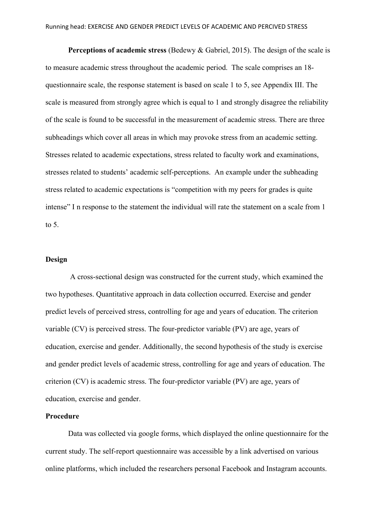**Perceptions of academic stress** (Bedewy & Gabriel, 2015). The design of the scale is to measure academic stress throughout the academic period. The scale comprises an 18 questionnaire scale, the response statement is based on scale 1 to 5, see Appendix III. The scale is measured from strongly agree which is equal to 1 and strongly disagree the reliability of the scale is found to be successful in the measurement of academic stress. There are three subheadings which cover all areas in which may provoke stress from an academic setting. Stresses related to academic expectations, stress related to faculty work and examinations, stresses related to students' academic self-perceptions. An example under the subheading stress related to academic expectations is "competition with my peers for grades is quite intense" I n response to the statement the individual will rate the statement on a scale from 1 to 5.

## **Design**

A cross-sectional design was constructed for the current study, which examined the two hypotheses. Quantitative approach in data collection occurred. Exercise and gender predict levels of perceived stress, controlling for age and years of education. The criterion variable (CV) is perceived stress. The four-predictor variable (PV) are age, years of education, exercise and gender. Additionally, the second hypothesis of the study is exercise and gender predict levels of academic stress, controlling for age and years of education. The criterion (CV) is academic stress. The four-predictor variable (PV) are age, years of education, exercise and gender.

## **Procedure**

Data was collected via google forms, which displayed the online questionnaire for the current study. The self-report questionnaire was accessible by a link advertised on various online platforms, which included the researchers personal Facebook and Instagram accounts.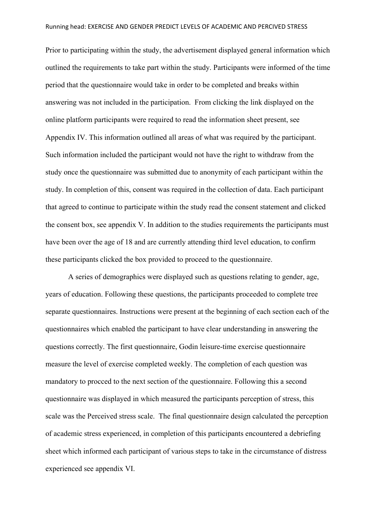Prior to participating within the study, the advertisement displayed general information which outlined the requirements to take part within the study. Participants were informed of the time period that the questionnaire would take in order to be completed and breaks within answering was not included in the participation. From clicking the link displayed on the online platform participants were required to read the information sheet present, see Appendix IV. This information outlined all areas of what was required by the participant. Such information included the participant would not have the right to withdraw from the study once the questionnaire was submitted due to anonymity of each participant within the study. In completion of this, consent was required in the collection of data. Each participant that agreed to continue to participate within the study read the consent statement and clicked the consent box, see appendix V. In addition to the studies requirements the participants must have been over the age of 18 and are currently attending third level education, to confirm these participants clicked the box provided to proceed to the questionnaire.

A series of demographics were displayed such as questions relating to gender, age, years of education. Following these questions, the participants proceeded to complete tree separate questionnaires. Instructions were present at the beginning of each section each of the questionnaires which enabled the participant to have clear understanding in answering the questions correctly. The first questionnaire, Godin leisure-time exercise questionnaire measure the level of exercise completed weekly. The completion of each question was mandatory to procced to the next section of the questionnaire. Following this a second questionnaire was displayed in which measured the participants perception of stress, this scale was the Perceived stress scale. The final questionnaire design calculated the perception of academic stress experienced, in completion of this participants encountered a debriefing sheet which informed each participant of various steps to take in the circumstance of distress experienced see appendix VI.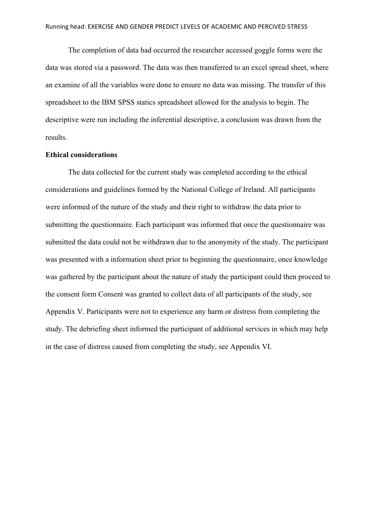The completion of data had occurred the researcher accessed goggle forms were the data was stored via a password. The data was then transferred to an excel spread sheet, where an examine of all the variables were done to ensure no data was missing. The transfer of this spreadsheet to the IBM SPSS statics spreadsheet allowed for the analysis to begin. The descriptive were run including the inferential descriptive, a conclusion was drawn from the results.

#### **Ethical considerations**

The data collected for the current study was completed according to the ethical considerations and guidelines formed by the National College of Ireland. All participants were informed of the nature of the study and their right to withdraw the data prior to submitting the questionnaire. Each participant was informed that once the questionnaire was submitted the data could not be withdrawn due to the anonymity of the study. The participant was presented with a information sheet prior to beginning the questionnaire, once knowledge was gathered by the participant about the nature of study the participant could then proceed to the consent form Consent was granted to collect data of all participants of the study, see Appendix V. Participants were not to experience any harm or distress from completing the study. The debriefing sheet informed the participant of additional services in which may help in the case of distress caused from completing the study, see Appendix VI.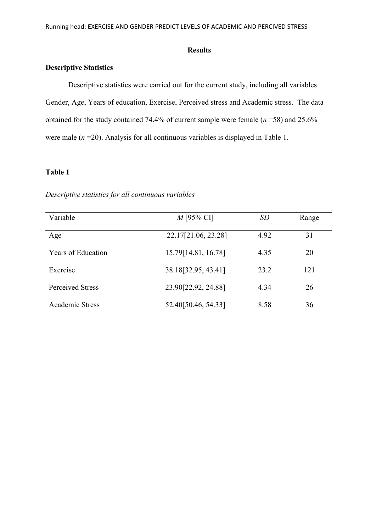#### **Results**

## **Descriptive Statistics**

Descriptive statistics were carried out for the current study, including all variables Gender, Age, Years of education, Exercise, Perceived stress and Academic stress. The data obtained for the study contained 74.4% of current sample were female (*n* =58) and 25.6% were male  $(n=20)$ . Analysis for all continuous variables is displayed in Table 1.

## **Table 1**

#### *Descriptive statistics for all continuous variables*

| Variable                  | $M$ [95% CI]           | <i>SD</i> | Range |
|---------------------------|------------------------|-----------|-------|
| Age                       | 22.17[21.06, 23.28]    | 4.92      | 31    |
| <b>Years of Education</b> | 15.79 $[14.81, 16.78]$ | 4.35      | 20    |
| Exercise                  | 38.18[32.95, 43.41]    | 23.2      | 121   |
| <b>Perceived Stress</b>   | 23.90[22.92, 24.88]    | 4.34      | 26    |
| Academic Stress           | 52.40[50.46, 54.33]    | 8.58      | 36    |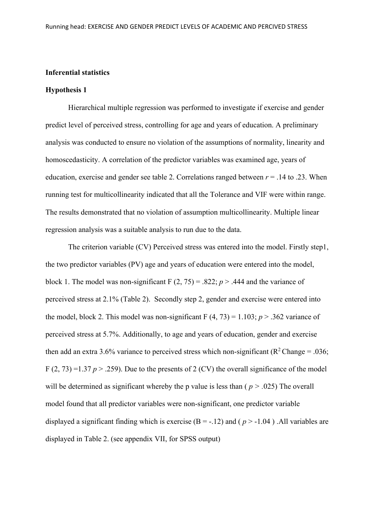## **Inferential statistics**

#### **Hypothesis 1**

Hierarchical multiple regression was performed to investigate if exercise and gender predict level of perceived stress, controlling for age and years of education. A preliminary analysis was conducted to ensure no violation of the assumptions of normality, linearity and homoscedasticity. A correlation of the predictor variables was examined age, years of education, exercise and gender see table 2. Correlations ranged between  $r = .14$  to .23. When running test for multicollinearity indicated that all the Tolerance and VIF were within range. The results demonstrated that no violation of assumption multicollinearity. Multiple linear regression analysis was a suitable analysis to run due to the data.

The criterion variable (CV) Perceived stress was entered into the model. Firstly step1, the two predictor variables (PV) age and years of education were entered into the model, block 1. The model was non-significant  $F(2, 75) = .822$ ;  $p > .444$  and the variance of perceived stress at 2.1% (Table 2). Secondly step 2, gender and exercise were entered into the model, block 2. This model was non-significant  $F(4, 73) = 1.103$ ;  $p > .362$  variance of perceived stress at 5.7%. Additionally, to age and years of education, gender and exercise then add an extra 3.6% variance to perceived stress which non-significant ( $\mathbb{R}^2$ Change = .036; F (2, 73) = 1.37  $p > 0.259$ ). Due to the presents of 2 (CV) the overall significance of the model will be determined as significant whereby the p value is less than ( $p > .025$ ) The overall model found that all predictor variables were non-significant, one predictor variable displayed a significant finding which is exercise  $(B = -12)$  and  $(p > -1.04)$ . All variables are displayed in Table 2. (see appendix VII, for SPSS output)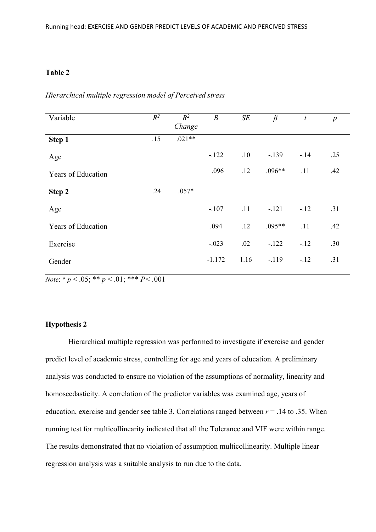## **Table 2**

| Variable                  | $R^2$ | $R^2$<br>Change | $\boldsymbol{B}$ | $S\!E$ | $\beta$  | $\boldsymbol{t}$ | $\boldsymbol{p}$ |
|---------------------------|-------|-----------------|------------------|--------|----------|------------------|------------------|
| Step 1                    | .15   | $.021**$        |                  |        |          |                  |                  |
| Age                       |       |                 | $-122$           | .10    | $-.139$  | $-.14$           | .25              |
| <b>Years of Education</b> |       |                 | .096             | .12    | $.096**$ | .11              | .42              |
| Step 2                    | .24   | $.057*$         |                  |        |          |                  |                  |
| Age                       |       |                 | $-.107$          | .11    | $-.121$  | $-12$            | .31              |
| <b>Years of Education</b> |       |                 | .094             | .12    | $.095**$ | .11              | .42              |
| Exercise                  |       |                 | $-.023$          | .02    | $-.122$  | $-.12$           | .30              |
| Gender                    |       |                 | $-1.172$         | 1.16   | $-.119$  | $-.12$           | .31              |

*Hierarchical multiple regression model of Perceived stress*

*Note*: \*  $p < .05$ ; \*\*  $p < .01$ ; \*\*\*  $P < .001$ 

## **Hypothesis 2**

Hierarchical multiple regression was performed to investigate if exercise and gender predict level of academic stress, controlling for age and years of education. A preliminary analysis was conducted to ensure no violation of the assumptions of normality, linearity and homoscedasticity. A correlation of the predictor variables was examined age, years of education, exercise and gender see table 3. Correlations ranged between  $r = .14$  to .35. When running test for multicollinearity indicated that all the Tolerance and VIF were within range. The results demonstrated that no violation of assumption multicollinearity. Multiple linear regression analysis was a suitable analysis to run due to the data.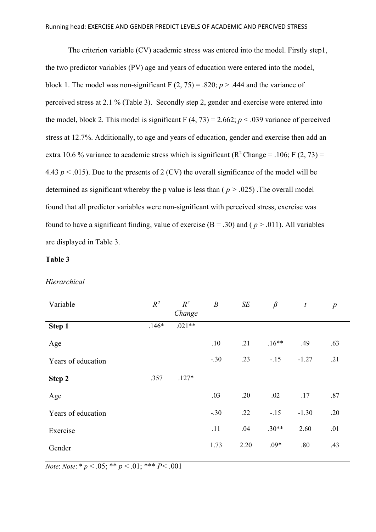The criterion variable (CV) academic stress was entered into the model. Firstly step1, the two predictor variables (PV) age and years of education were entered into the model, block 1. The model was non-significant  $F(2, 75) = .820$ ;  $p > .444$  and the variance of perceived stress at 2.1 % (Table 3). Secondly step 2, gender and exercise were entered into the model, block 2. This model is significant F  $(4, 73) = 2.662$ ;  $p < .039$  variance of perceived stress at 12.7%. Additionally, to age and years of education, gender and exercise then add an extra 10.6 % variance to academic stress which is significant ( $R^2$ Change = .106; F (2, 73) = 4.43  $p < .015$ ). Due to the presents of 2 (CV) the overall significance of the model will be determined as significant whereby the p value is less than ( *p > .*025) .The overall model found that all predictor variables were non-significant with perceived stress, exercise was found to have a significant finding, value of exercise  $(B = .30)$  and  $(p > .011)$ . All variables are displayed in Table 3.

## **Table 3**

#### *Hierarchical*

| Variable           | $R^2$   | $R^2$<br>Change | $\boldsymbol{B}$ | $S\!E$ | $\beta$ | t       | $\boldsymbol{p}$ |
|--------------------|---------|-----------------|------------------|--------|---------|---------|------------------|
| Step 1             | $.146*$ | $.021**$        |                  |        |         |         |                  |
| Age                |         |                 | .10              | .21    | $.16**$ | .49     | .63              |
| Years of education |         |                 | $-.30$           | .23    | $-.15$  | $-1.27$ | .21              |
| Step 2             | .357    | $.127*$         |                  |        |         |         |                  |
| Age                |         |                 | .03              | .20    | .02     | .17     | .87              |
| Years of education |         |                 | $-.30$           | .22    | $-.15$  | $-1.30$ | .20              |
| Exercise           |         |                 | .11              | .04    | $.30**$ | 2.60    | .01              |
| Gender             |         |                 | 1.73             | 2.20   | $.09*$  | .80     | .43              |

*Note*: *Note*: \* *p* < .05; \*\* *p* < .01; \*\*\* *P* < .001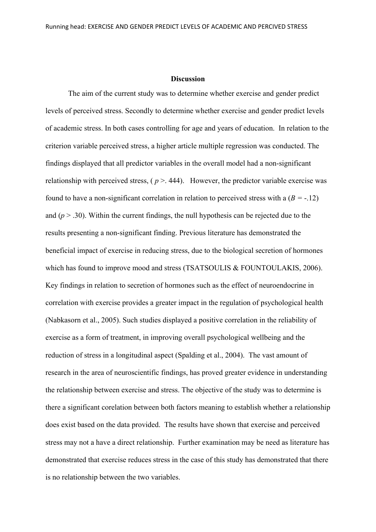#### **Discussion**

The aim of the current study was to determine whether exercise and gender predict levels of perceived stress. Secondly to determine whether exercise and gender predict levels of academic stress. In both cases controlling for age and years of education. In relation to the criterion variable perceived stress, a higher article multiple regression was conducted. The findings displayed that all predictor variables in the overall model had a non-significant relationship with perceived stress,  $(p > .444)$ . However, the predictor variable exercise was found to have a non-significant correlation in relation to perceived stress with a (*B =* -.12) and  $(p > .30)$ . Within the current findings, the null hypothesis can be rejected due to the results presenting a non-significant finding. Previous literature has demonstrated the beneficial impact of exercise in reducing stress, due to the biological secretion of hormones which has found to improve mood and stress (TSATSOULIS & FOUNTOULAKIS, 2006). Key findings in relation to secretion of hormones such as the effect of neuroendocrine in correlation with exercise provides a greater impact in the regulation of psychological health (Nabkasorn et al., 2005). Such studies displayed a positive correlation in the reliability of exercise as a form of treatment, in improving overall psychological wellbeing and the reduction of stress in a longitudinal aspect (Spalding et al., 2004). The vast amount of research in the area of neuroscientific findings, has proved greater evidence in understanding the relationship between exercise and stress. The objective of the study was to determine is there a significant corelation between both factors meaning to establish whether a relationship does exist based on the data provided. The results have shown that exercise and perceived stress may not a have a direct relationship. Further examination may be need as literature has demonstrated that exercise reduces stress in the case of this study has demonstrated that there is no relationship between the two variables.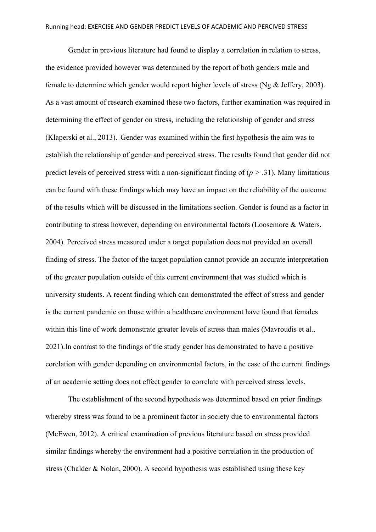Gender in previous literature had found to display a correlation in relation to stress, the evidence provided however was determined by the report of both genders male and female to determine which gender would report higher levels of stress (Ng & Jeffery, 2003). As a vast amount of research examined these two factors, further examination was required in determining the effect of gender on stress, including the relationship of gender and stress (Klaperski et al., 2013). Gender was examined within the first hypothesis the aim was to establish the relationship of gender and perceived stress. The results found that gender did not predict levels of perceived stress with a non-significant finding of (*p >* .31). Many limitations can be found with these findings which may have an impact on the reliability of the outcome of the results which will be discussed in the limitations section. Gender is found as a factor in contributing to stress however, depending on environmental factors (Loosemore & Waters, 2004). Perceived stress measured under a target population does not provided an overall finding of stress. The factor of the target population cannot provide an accurate interpretation of the greater population outside of this current environment that was studied which is university students. A recent finding which can demonstrated the effect of stress and gender is the current pandemic on those within a healthcare environment have found that females within this line of work demonstrate greater levels of stress than males (Mavroudis et al., 2021).In contrast to the findings of the study gender has demonstrated to have a positive corelation with gender depending on environmental factors, in the case of the current findings of an academic setting does not effect gender to correlate with perceived stress levels.

The establishment of the second hypothesis was determined based on prior findings whereby stress was found to be a prominent factor in society due to environmental factors (McEwen, 2012). A critical examination of previous literature based on stress provided similar findings whereby the environment had a positive correlation in the production of stress (Chalder & Nolan, 2000). A second hypothesis was established using these key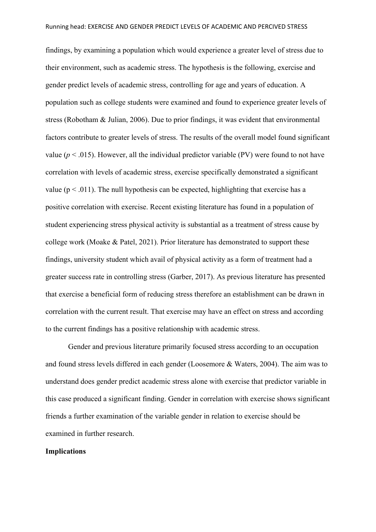findings, by examining a population which would experience a greater level of stress due to their environment, such as academic stress. The hypothesis is the following, exercise and gender predict levels of academic stress, controlling for age and years of education. A population such as college students were examined and found to experience greater levels of stress (Robotham & Julian, 2006). Due to prior findings, it was evident that environmental factors contribute to greater levels of stress. The results of the overall model found significant value ( $p < .015$ ). However, all the individual predictor variable (PV) were found to not have correlation with levels of academic stress, exercise specifically demonstrated a significant value ( $p < .011$ ). The null hypothesis can be expected, highlighting that exercise has a positive correlation with exercise. Recent existing literature has found in a population of student experiencing stress physical activity is substantial as a treatment of stress cause by college work (Moake & Patel, 2021). Prior literature has demonstrated to support these findings, university student which avail of physical activity as a form of treatment had a greater success rate in controlling stress (Garber, 2017). As previous literature has presented that exercise a beneficial form of reducing stress therefore an establishment can be drawn in correlation with the current result. That exercise may have an effect on stress and according to the current findings has a positive relationship with academic stress.

Gender and previous literature primarily focused stress according to an occupation and found stress levels differed in each gender (Loosemore & Waters, 2004). The aim was to understand does gender predict academic stress alone with exercise that predictor variable in this case produced a significant finding. Gender in correlation with exercise shows significant friends a further examination of the variable gender in relation to exercise should be examined in further research.

#### **Implications**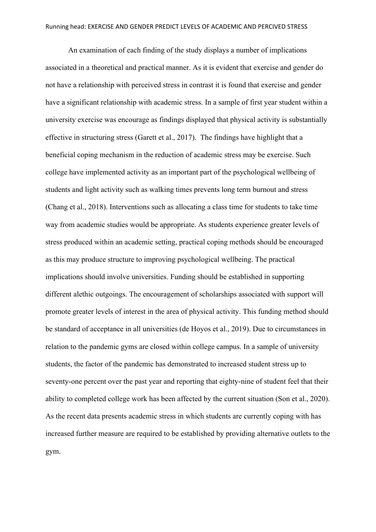An examination of each finding of the study displays a number of implications associated in a theoretical and practical manner. As it is evident that exercise and gender do not have a relationship with perceived stress in contrast it is found that exercise and gender have a significant relationship with academic stress. In a sample of first year student within a university exercise was encourage as findings displayed that physical activity is substantially effective in structuring stress (Garett et al., 2017). The findings have highlight that a beneficial coping mechanism in the reduction of academic stress may be exercise. Such college have implemented activity as an important part of the psychological wellbeing of students and light activity such as walking times prevents long term burnout and stress (Chang et al., 2018). Interventions such as allocating a class time for students to take time way from academic studies would be appropriate. As students experience greater levels of stress produced within an academic setting, practical coping methods should be encouraged as this may produce structure to improving psychological wellbeing. The practical implications should involve universities. Funding should be established in supporting different alethic outgoings. The encouragement of scholarships associated with support will promote greater levels of interest in the area of physical activity. This funding method should be standard of acceptance in all universities (de Hoyos et al., 2019). Due to circumstances in relation to the pandemic gyms are closed within college campus. In a sample of university students, the factor of the pandemic has demonstrated to increased student stress up to seventy-one percent over the past year and reporting that eighty-nine of student feel that their ability to completed college work has been affected by the current situation (Son et al., 2020). As the recent data presents academic stress in which students are currently coping with has increased further measure are required to be established by providing alternative outlets to the gym.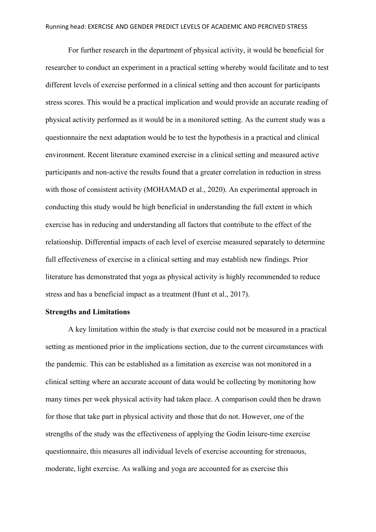For further research in the department of physical activity, it would be beneficial for researcher to conduct an experiment in a practical setting whereby would facilitate and to test different levels of exercise performed in a clinical setting and then account for participants stress scores. This would be a practical implication and would provide an accurate reading of physical activity performed as it would be in a monitored setting. As the current study was a questionnaire the next adaptation would be to test the hypothesis in a practical and clinical environment. Recent literature examined exercise in a clinical setting and measured active participants and non-active the results found that a greater correlation in reduction in stress with those of consistent activity (MOHAMAD et al., 2020). An experimental approach in conducting this study would be high beneficial in understanding the full extent in which exercise has in reducing and understanding all factors that contribute to the effect of the relationship. Differential impacts of each level of exercise measured separately to determine full effectiveness of exercise in a clinical setting and may establish new findings. Prior literature has demonstrated that yoga as physical activity is highly recommended to reduce stress and has a beneficial impact as a treatment (Hunt et al., 2017).

#### **Strengths and Limitations**

A key limitation within the study is that exercise could not be measured in a practical setting as mentioned prior in the implications section, due to the current circumstances with the pandemic. This can be established as a limitation as exercise was not monitored in a clinical setting where an accurate account of data would be collecting by monitoring how many times per week physical activity had taken place. A comparison could then be drawn for those that take part in physical activity and those that do not. However, one of the strengths of the study was the effectiveness of applying the Godin leisure-time exercise questionnaire, this measures all individual levels of exercise accounting for strenuous, moderate, light exercise. As walking and yoga are accounted for as exercise this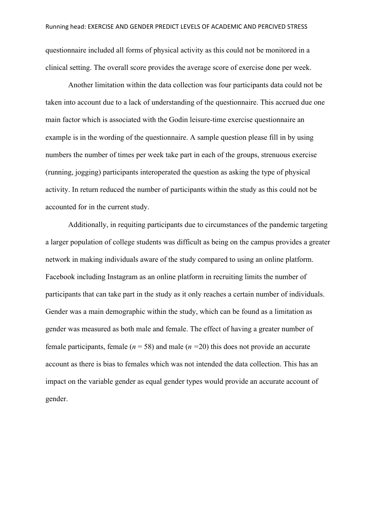questionnaire included all forms of physical activity as this could not be monitored in a clinical setting. The overall score provides the average score of exercise done per week.

Another limitation within the data collection was four participants data could not be taken into account due to a lack of understanding of the questionnaire. This accrued due one main factor which is associated with the Godin leisure-time exercise questionnaire an example is in the wording of the questionnaire. A sample question please fill in by using numbers the number of times per week take part in each of the groups, strenuous exercise (running, jogging) participants interoperated the question as asking the type of physical activity. In return reduced the number of participants within the study as this could not be accounted for in the current study.

Additionally, in requiting participants due to circumstances of the pandemic targeting a larger population of college students was difficult as being on the campus provides a greater network in making individuals aware of the study compared to using an online platform. Facebook including Instagram as an online platform in recruiting limits the number of participants that can take part in the study as it only reaches a certain number of individuals. Gender was a main demographic within the study, which can be found as a limitation as gender was measured as both male and female. The effect of having a greater number of female participants, female ( $n = 58$ ) and male ( $n = 20$ ) this does not provide an accurate account as there is bias to females which was not intended the data collection. This has an impact on the variable gender as equal gender types would provide an accurate account of gender.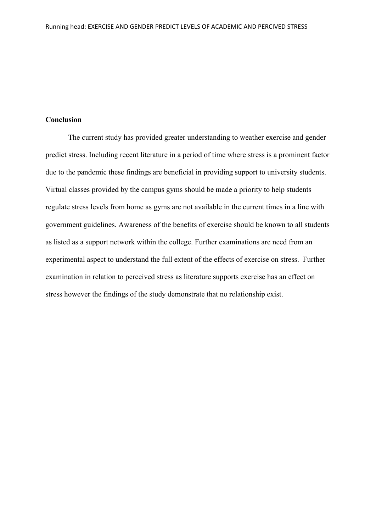## **Conclusion**

The current study has provided greater understanding to weather exercise and gender predict stress. Including recent literature in a period of time where stress is a prominent factor due to the pandemic these findings are beneficial in providing support to university students. Virtual classes provided by the campus gyms should be made a priority to help students regulate stress levels from home as gyms are not available in the current times in a line with government guidelines. Awareness of the benefits of exercise should be known to all students as listed as a support network within the college. Further examinations are need from an experimental aspect to understand the full extent of the effects of exercise on stress. Further examination in relation to perceived stress as literature supports exercise has an effect on stress however the findings of the study demonstrate that no relationship exist.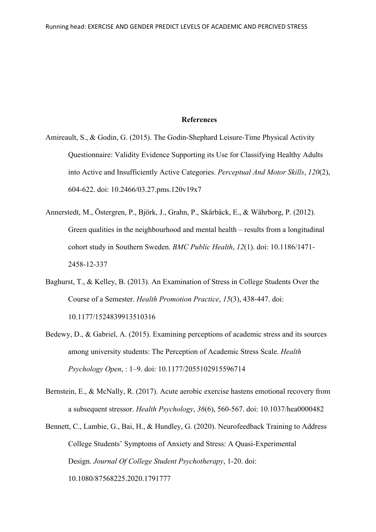#### **References**

- Amireault, S., & Godin, G. (2015). The Godin-Shephard Leisure-Time Physical Activity Questionnaire: Validity Evidence Supporting its Use for Classifying Healthy Adults into Active and Insufficiently Active Categories. *Perceptual And Motor Skills*, *120*(2), 604-622. doi: 10.2466/03.27.pms.120v19x7
- Annerstedt, M., Östergren, P., Björk, J., Grahn, P., Skärbäck, E., & Währborg, P. (2012). Green qualities in the neighbourhood and mental health – results from a longitudinal cohort study in Southern Sweden. *BMC Public Health*, *12*(1). doi: 10.1186/1471- 2458-12-337
- Baghurst, T., & Kelley, B. (2013). An Examination of Stress in College Students Over the Course of a Semester. *Health Promotion Practice*, *15*(3), 438-447. doi: 10.1177/1524839913510316
- Bedewy, D., & Gabriel, A. (2015). Examining perceptions of academic stress and its sources among university students: The Perception of Academic Stress Scale. *Health Psychology Open*, : 1–9. doi: 10.1177/2055102915596714
- Bernstein, E., & McNally, R. (2017). Acute aerobic exercise hastens emotional recovery from a subsequent stressor. *Health Psychology*, *36*(6), 560-567. doi: 10.1037/hea0000482
- Bennett, C., Lambie, G., Bai, H., & Hundley, G. (2020). Neurofeedback Training to Address College Students' Symptoms of Anxiety and Stress: A Quasi-Experimental Design. *Journal Of College Student Psychotherapy*, 1-20. doi: 10.1080/87568225.2020.1791777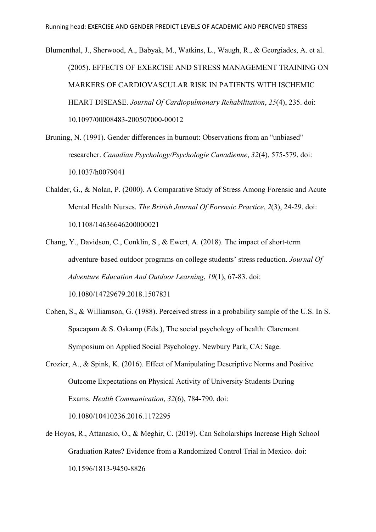Blumenthal, J., Sherwood, A., Babyak, M., Watkins, L., Waugh, R., & Georgiades, A. et al. (2005). EFFECTS OF EXERCISE AND STRESS MANAGEMENT TRAINING ON MARKERS OF CARDIOVASCULAR RISK IN PATIENTS WITH ISCHEMIC HEART DISEASE. *Journal Of Cardiopulmonary Rehabilitation*, *25*(4), 235. doi: 10.1097/00008483-200507000-00012

- Bruning, N. (1991). Gender differences in burnout: Observations from an "unbiased" researcher. *Canadian Psychology/Psychologie Canadienne*, *32*(4), 575-579. doi: 10.1037/h0079041
- Chalder, G., & Nolan, P. (2000). A Comparative Study of Stress Among Forensic and Acute Mental Health Nurses. *The British Journal Of Forensic Practice*, *2*(3), 24-29. doi: 10.1108/14636646200000021
- Chang, Y., Davidson, C., Conklin, S., & Ewert, A. (2018). The impact of short-term adventure-based outdoor programs on college students' stress reduction. *Journal Of Adventure Education And Outdoor Learning*, *19*(1), 67-83. doi: 10.1080/14729679.2018.1507831
- Cohen, S., & Williamson, G. (1988). Perceived stress in a probability sample of the U.S. In S. Spacapam & S. Oskamp (Eds.), The social psychology of health: Claremont Symposium on Applied Social Psychology. Newbury Park, CA: Sage.
- Crozier, A., & Spink, K. (2016). Effect of Manipulating Descriptive Norms and Positive Outcome Expectations on Physical Activity of University Students During Exams. *Health Communication*, *32*(6), 784-790. doi:

10.1080/10410236.2016.1172295

de Hoyos, R., Attanasio, O., & Meghir, C. (2019). Can Scholarships Increase High School Graduation Rates? Evidence from a Randomized Control Trial in Mexico. doi: 10.1596/1813-9450-8826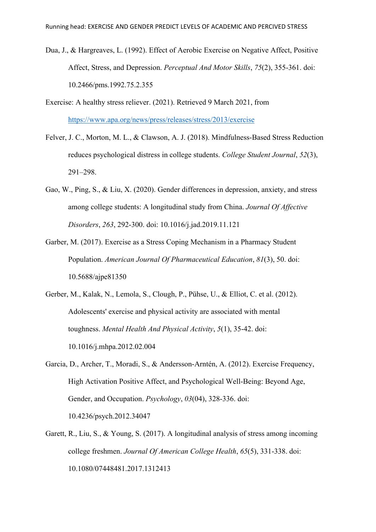- Dua, J., & Hargreaves, L. (1992). Effect of Aerobic Exercise on Negative Affect, Positive Affect, Stress, and Depression. *Perceptual And Motor Skills*, *75*(2), 355-361. doi: 10.2466/pms.1992.75.2.355
- Exercise: A healthy stress reliever. (2021). Retrieved 9 March 2021, from <https://www.apa.org/news/press/releases/stress/2013/exercise>
- Felver, J. C., Morton, M. L., & Clawson, A. J. (2018). Mindfulness-Based Stress Reduction reduces psychological distress in college students. *College Student Journal*, *52*(3), 291–298.
- Gao, W., Ping, S., & Liu, X. (2020). Gender differences in depression, anxiety, and stress among college students: A longitudinal study from China. *Journal Of Affective Disorders*, *263*, 292-300. doi: 10.1016/j.jad.2019.11.121
- Garber, M. (2017). Exercise as a Stress Coping Mechanism in a Pharmacy Student Population. *American Journal Of Pharmaceutical Education*, *81*(3), 50. doi: 10.5688/ajpe81350
- Gerber, M., Kalak, N., Lemola, S., Clough, P., Pühse, U., & Elliot, C. et al. (2012). Adolescents' exercise and physical activity are associated with mental toughness. *Mental Health And Physical Activity*, *5*(1), 35-42. doi: 10.1016/j.mhpa.2012.02.004
- Garcia, D., Archer, T., Moradi, S., & Andersson-Arntén, A. (2012). Exercise Frequency, High Activation Positive Affect, and Psychological Well-Being: Beyond Age, Gender, and Occupation. *Psychology*, *03*(04), 328-336. doi: 10.4236/psych.2012.34047
- Garett, R., Liu, S., & Young, S. (2017). A longitudinal analysis of stress among incoming college freshmen. *Journal Of American College Health*, *65*(5), 331-338. doi: 10.1080/07448481.2017.1312413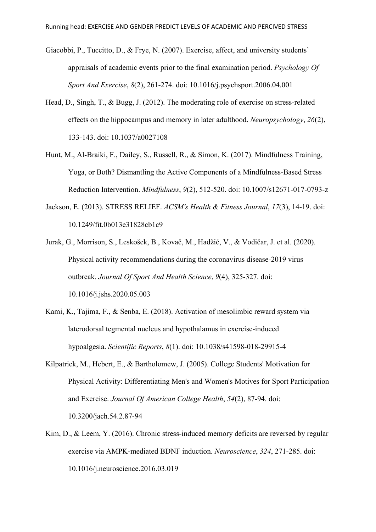- Giacobbi, P., Tuccitto, D., & Frye, N. (2007). Exercise, affect, and university students' appraisals of academic events prior to the final examination period. *Psychology Of Sport And Exercise*, *8*(2), 261-274. doi: 10.1016/j.psychsport.2006.04.001
- Head, D., Singh, T., & Bugg, J. (2012). The moderating role of exercise on stress-related effects on the hippocampus and memory in later adulthood. *Neuropsychology*, *26*(2), 133-143. doi: 10.1037/a0027108
- Hunt, M., Al-Braiki, F., Dailey, S., Russell, R., & Simon, K. (2017). Mindfulness Training, Yoga, or Both? Dismantling the Active Components of a Mindfulness-Based Stress Reduction Intervention. *Mindfulness*, *9*(2), 512-520. doi: 10.1007/s12671-017-0793-z
- Jackson, E. (2013). STRESS RELIEF. *ACSM's Health & Fitness Journal*, *17*(3), 14-19. doi: 10.1249/fit.0b013e31828cb1c9
- Jurak, G., Morrison, S., Leskošek, B., Kovač, M., Hadžić, V., & Vodičar, J. et al. (2020). Physical activity recommendations during the coronavirus disease-2019 virus outbreak. *Journal Of Sport And Health Science*, *9*(4), 325-327. doi: 10.1016/j.jshs.2020.05.003
- Kami, K., Tajima, F., & Senba, E. (2018). Activation of mesolimbic reward system via laterodorsal tegmental nucleus and hypothalamus in exercise-induced hypoalgesia. *Scientific Reports*, *8*(1). doi: 10.1038/s41598-018-29915-4
- Kilpatrick, M., Hebert, E., & Bartholomew, J. (2005). College Students' Motivation for Physical Activity: Differentiating Men's and Women's Motives for Sport Participation and Exercise. *Journal Of American College Health*, *54*(2), 87-94. doi: 10.3200/jach.54.2.87-94
- Kim, D., & Leem, Y. (2016). Chronic stress-induced memory deficits are reversed by regular exercise via AMPK-mediated BDNF induction. *Neuroscience*, *324*, 271-285. doi: 10.1016/j.neuroscience.2016.03.019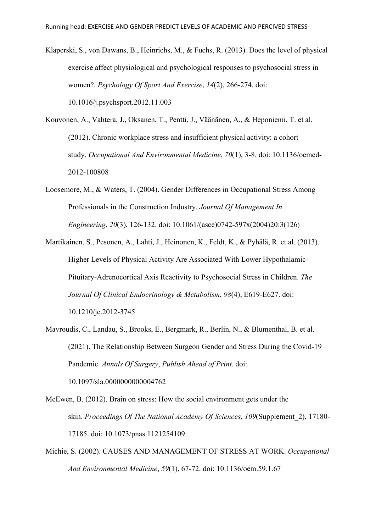- Klaperski, S., von Dawans, B., Heinrichs, M., & Fuchs, R. (2013). Does the level of physical exercise affect physiological and psychological responses to psychosocial stress in women?. *Psychology Of Sport And Exercise*, *14*(2), 266-274. doi: 10.1016/j.psychsport.2012.11.003
- Kouvonen, A., Vahtera, J., Oksanen, T., Pentti, J., Väänänen, A., & Heponiemi, T. et al. (2012). Chronic workplace stress and insufficient physical activity: a cohort study. *Occupational And Environmental Medicine*, *70*(1), 3-8. doi: 10.1136/oemed-2012-100808
- Loosemore, M., & Waters, T. (2004). Gender Differences in Occupational Stress Among Professionals in the Construction Industry. *Journal Of Management In Engineering*, *20*(3), 126-132. doi: 10.1061/(asce)0742-597x(2004)20:3(126)
- Martikainen, S., Pesonen, A., Lahti, J., Heinonen, K., Feldt, K., & Pyhälä, R. et al. (2013). Higher Levels of Physical Activity Are Associated With Lower Hypothalamic-Pituitary-Adrenocortical Axis Reactivity to Psychosocial Stress in Children. *The Journal Of Clinical Endocrinology & Metabolism*, *98*(4), E619-E627. doi: 10.1210/jc.2012-3745
- Mavroudis, C., Landau, S., Brooks, E., Bergmark, R., Berlin, N., & Blumenthal, B. et al. (2021). The Relationship Between Surgeon Gender and Stress During the Covid-19 Pandemic. *Annals Of Surgery*, *Publish Ahead of Print*. doi: 10.1097/sla.0000000000004762
- McEwen, B. (2012). Brain on stress: How the social environment gets under the skin. *Proceedings Of The National Academy Of Sciences*, *109*(Supplement\_2), 17180- 17185. doi: 10.1073/pnas.1121254109
- Michie, S. (2002). CAUSES AND MANAGEMENT OF STRESS AT WORK. *Occupational And Environmental Medicine*, *59*(1), 67-72. doi: 10.1136/oem.59.1.67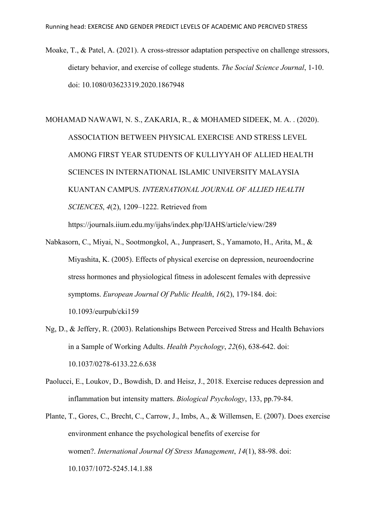Moake, T., & Patel, A. (2021). A cross-stressor adaptation perspective on challenge stressors, dietary behavior, and exercise of college students. *The Social Science Journal*, 1-10. doi: 10.1080/03623319.2020.1867948

MOHAMAD NAWAWI, N. S., ZAKARIA, R., & MOHAMED SIDEEK, M. A. . (2020). ASSOCIATION BETWEEN PHYSICAL EXERCISE AND STRESS LEVEL AMONG FIRST YEAR STUDENTS OF KULLIYYAH OF ALLIED HEALTH SCIENCES IN INTERNATIONAL ISLAMIC UNIVERSITY MALAYSIA KUANTAN CAMPUS. *INTERNATIONAL JOURNAL OF ALLIED HEALTH SCIENCES*, *4*(2), 1209–1222. Retrieved from

https://journals.iium.edu.my/ijahs/index.php/IJAHS/article/view/289

- Nabkasorn, C., Miyai, N., Sootmongkol, A., Junprasert, S., Yamamoto, H., Arita, M., & Miyashita, K. (2005). Effects of physical exercise on depression, neuroendocrine stress hormones and physiological fitness in adolescent females with depressive symptoms. *European Journal Of Public Health*, *16*(2), 179-184. doi: 10.1093/eurpub/cki159
- Ng, D., & Jeffery, R. (2003). Relationships Between Perceived Stress and Health Behaviors in a Sample of Working Adults. *Health Psychology*, *22*(6), 638-642. doi: 10.1037/0278-6133.22.6.638
- Paolucci, E., Loukov, D., Bowdish, D. and Heisz, J., 2018. Exercise reduces depression and inflammation but intensity matters. *Biological Psychology*, 133, pp.79-84.
- Plante, T., Gores, C., Brecht, C., Carrow, J., Imbs, A., & Willemsen, E. (2007). Does exercise environment enhance the psychological benefits of exercise for women?. *International Journal Of Stress Management*, *14*(1), 88-98. doi: 10.1037/1072-5245.14.1.88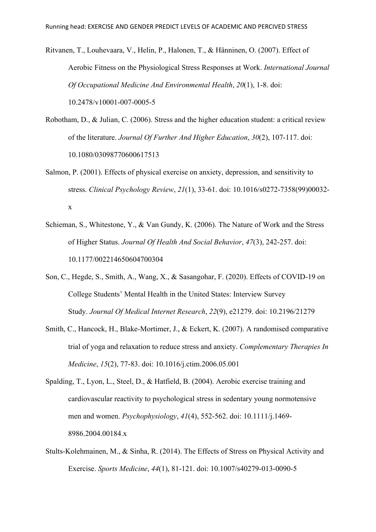Ritvanen, T., Louhevaara, V., Helin, P., Halonen, T., & Hänninen, O. (2007). Effect of Aerobic Fitness on the Physiological Stress Responses at Work. *International Journal Of Occupational Medicine And Environmental Health*, *20*(1), 1-8. doi: 10.2478/v10001-007-0005-5

- Robotham, D., & Julian, C. (2006). Stress and the higher education student: a critical review of the literature. *Journal Of Further And Higher Education*, *30*(2), 107-117. doi: 10.1080/03098770600617513
- Salmon, P. (2001). Effects of physical exercise on anxiety, depression, and sensitivity to stress. *Clinical Psychology Review*, *21*(1), 33-61. doi: 10.1016/s0272-7358(99)00032 x
- Schieman, S., Whitestone, Y., & Van Gundy, K. (2006). The Nature of Work and the Stress of Higher Status. *Journal Of Health And Social Behavior*, *47*(3), 242-257. doi: 10.1177/002214650604700304
- Son, C., Hegde, S., Smith, A., Wang, X., & Sasangohar, F. (2020). Effects of COVID-19 on College Students' Mental Health in the United States: Interview Survey Study. *Journal Of Medical Internet Research*, *22*(9), e21279. doi: 10.2196/21279
- Smith, C., Hancock, H., Blake-Mortimer, J., & Eckert, K. (2007). A randomised comparative trial of yoga and relaxation to reduce stress and anxiety. *Complementary Therapies In Medicine*, *15*(2), 77-83. doi: 10.1016/j.ctim.2006.05.001
- Spalding, T., Lyon, L., Steel, D., & Hatfield, B. (2004). Aerobic exercise training and cardiovascular reactivity to psychological stress in sedentary young normotensive men and women. *Psychophysiology*, *41*(4), 552-562. doi: 10.1111/j.1469- 8986.2004.00184.x
- Stults-Kolehmainen, M., & Sinha, R. (2014). The Effects of Stress on Physical Activity and Exercise. *Sports Medicine*, *44*(1), 81-121. doi: 10.1007/s40279-013-0090-5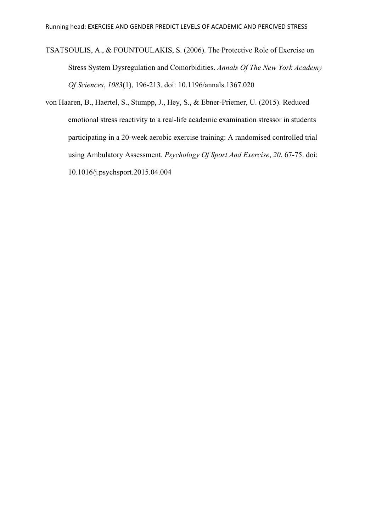TSATSOULIS, A., & FOUNTOULAKIS, S. (2006). The Protective Role of Exercise on Stress System Dysregulation and Comorbidities. *Annals Of The New York Academy Of Sciences*, *1083*(1), 196-213. doi: 10.1196/annals.1367.020

von Haaren, B., Haertel, S., Stumpp, J., Hey, S., & Ebner-Priemer, U. (2015). Reduced emotional stress reactivity to a real-life academic examination stressor in students participating in a 20-week aerobic exercise training: A randomised controlled trial using Ambulatory Assessment. *Psychology Of Sport And Exercise*, *20*, 67-75. doi: 10.1016/j.psychsport.2015.04.004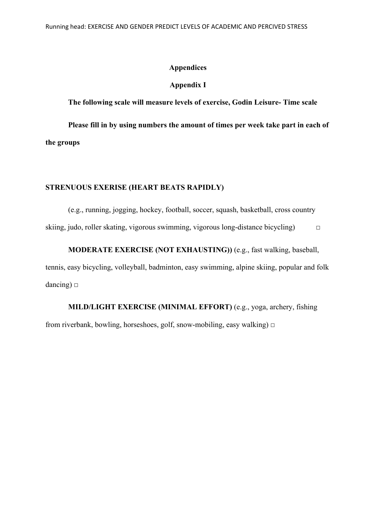#### **Appendices**

#### **Appendix I**

**The following scale will measure levels of exercise, Godin Leisure- Time scale** 

**Please fill in by using numbers the amount of times per week take part in each of the groups** 

## **STRENUOUS EXERISE (HEART BEATS RAPIDLY)**

(e.g., running, jogging, hockey, football, soccer, squash, basketball, cross country skiing, judo, roller skating, vigorous swimming, vigorous long-distance bicycling)  $\Box$ 

**MODERATE EXERCISE (NOT EXHAUSTING))** (e.g., fast walking, baseball, tennis, easy bicycling, volleyball, badminton, easy swimming, alpine skiing, popular and folk dancing)  $\square$ 

**MILD/LIGHT EXERCISE (MINIMAL EFFORT)** (e.g., yoga, archery, fishing from riverbank, bowling, horseshoes, golf, snow-mobiling, easy walking)  $\Box$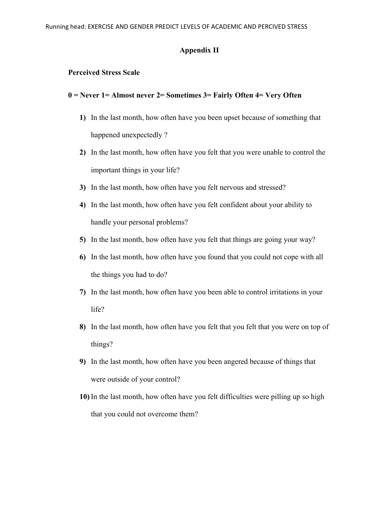#### **Appendix II**

## **Perceived Stress Scale**

## **0 = Never 1= Almost never 2= Sometimes 3= Fairly Often 4= Very Often**

- **1)** In the last month, how often have you been upset because of something that happened unexpectedly?
- **2)** In the last month, how often have you felt that you were unable to control the important things in your life?
- **3)** In the last month, how often have you felt nervous and stressed?
- **4)** In the last month, how often have you felt confident about your ability to handle your personal problems?
- **5)** In the last month, how often have you felt that things are going your way?
- **6)** In the last month, how often have you found that you could not cope with all the things you had to do?
- **7)** In the last month, how often have you been able to control irritations in your life?
- **8)** In the last month, how often have you felt that you felt that you were on top of things?
- **9)** In the last month, how often have you been angered because of things that were outside of your control?
- **10)** In the last month, how often have you felt difficulties were pilling up so high that you could not overcome them?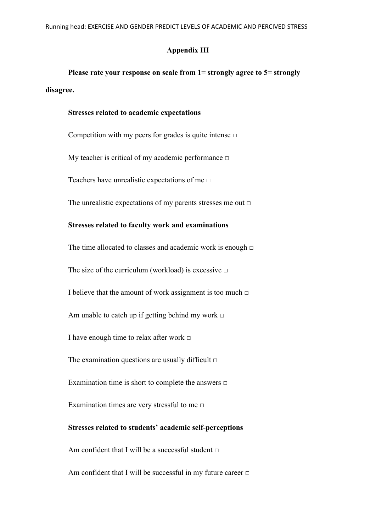#### **Appendix III**

**Please rate your response on scale from 1= strongly agree to 5= strongly disagree.** 

#### **Stresses related to academic expectations**

Competition with my peers for grades is quite intense  $\Box$ My teacher is critical of my academic performance □ Teachers have unrealistic expectations of me  $\Box$ 

The unrealistic expectations of my parents stresses me out  $\Box$ 

## **Stresses related to faculty work and examinations**

The time allocated to classes and academic work is enough  $□$ The size of the curriculum (workload) is excessive  $\Box$ I believe that the amount of work assignment is too much  $\Box$ Am unable to catch up if getting behind my work  $\Box$ I have enough time to relax after work □ The examination questions are usually difficult  $\Box$ Examination time is short to complete the answers □ Examination times are very stressful to me  $\Box$ **Stresses related to students' academic self-perceptions**  Am confident that I will be a successful student  $\Box$ 

Am confident that I will be successful in my future career  $\Box$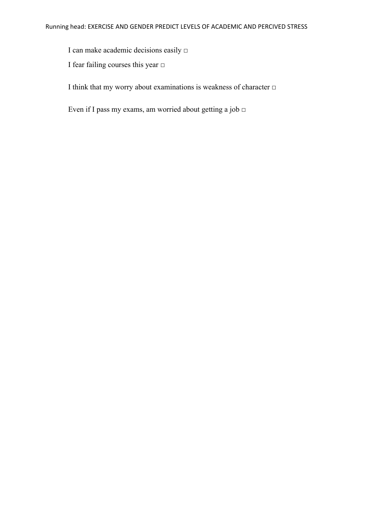I can make academic decisions easily □

I fear failing courses this year □

I think that my worry about examinations is weakness of character  $\Box$ 

Even if I pass my exams, am worried about getting a job  $\Box$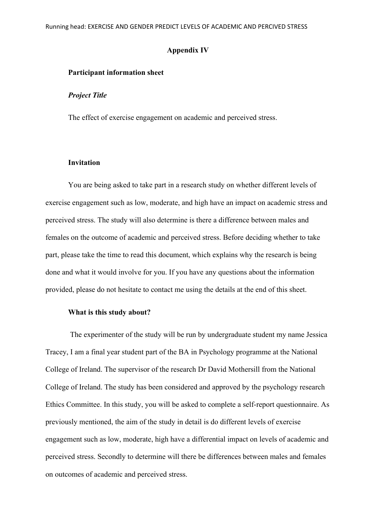#### **Appendix IV**

### **Participant information sheet**

### *Project Title*

The effect of exercise engagement on academic and perceived stress.

#### **Invitation**

You are being asked to take part in a research study on whether different levels of exercise engagement such as low, moderate, and high have an impact on academic stress and perceived stress. The study will also determine is there a difference between males and females on the outcome of academic and perceived stress. Before deciding whether to take part, please take the time to read this document, which explains why the research is being done and what it would involve for you. If you have any questions about the information provided, please do not hesitate to contact me using the details at the end of this sheet.

#### **What is this study about?**

The experimenter of the study will be run by undergraduate student my name Jessica Tracey, I am a final year student part of the BA in Psychology programme at the National College of Ireland. The supervisor of the research Dr David Mothersill from the National College of Ireland. The study has been considered and approved by the psychology research Ethics Committee. In this study, you will be asked to complete a self-report questionnaire. As previously mentioned, the aim of the study in detail is do different levels of exercise engagement such as low, moderate, high have a differential impact on levels of academic and perceived stress. Secondly to determine will there be differences between males and females on outcomes of academic and perceived stress.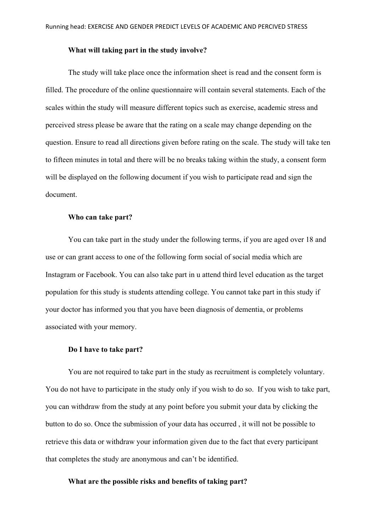#### **What will taking part in the study involve?**

The study will take place once the information sheet is read and the consent form is filled. The procedure of the online questionnaire will contain several statements. Each of the scales within the study will measure different topics such as exercise, academic stress and perceived stress please be aware that the rating on a scale may change depending on the question. Ensure to read all directions given before rating on the scale. The study will take ten to fifteen minutes in total and there will be no breaks taking within the study, a consent form will be displayed on the following document if you wish to participate read and sign the document.

#### **Who can take part?**

You can take part in the study under the following terms, if you are aged over 18 and use or can grant access to one of the following form social of social media which are Instagram or Facebook. You can also take part in u attend third level education as the target population for this study is students attending college. You cannot take part in this study if your doctor has informed you that you have been diagnosis of dementia, or problems associated with your memory.

#### **Do I have to take part?**

You are not required to take part in the study as recruitment is completely voluntary. You do not have to participate in the study only if you wish to do so. If you wish to take part, you can withdraw from the study at any point before you submit your data by clicking the button to do so. Once the submission of your data has occurred , it will not be possible to retrieve this data or withdraw your information given due to the fact that every participant that completes the study are anonymous and can't be identified.

## **What are the possible risks and benefits of taking part?**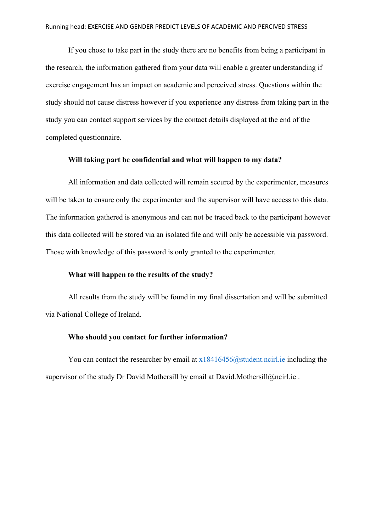If you chose to take part in the study there are no benefits from being a participant in the research, the information gathered from your data will enable a greater understanding if exercise engagement has an impact on academic and perceived stress. Questions within the study should not cause distress however if you experience any distress from taking part in the study you can contact support services by the contact details displayed at the end of the completed questionnaire.

## **Will taking part be confidential and what will happen to my data?**

All information and data collected will remain secured by the experimenter, measures will be taken to ensure only the experimenter and the supervisor will have access to this data. The information gathered is anonymous and can not be traced back to the participant however this data collected will be stored via an isolated file and will only be accessible via password. Those with knowledge of this password is only granted to the experimenter.

## **What will happen to the results of the study?**

All results from the study will be found in my final dissertation and will be submitted via National College of Ireland.

#### **Who should you contact for further information?**

You can contact the researcher by email at  $x18416456@$  student.ncirl.ie including the supervisor of the study Dr David Mothersill by email at David.Mothersill@ncirl.ie.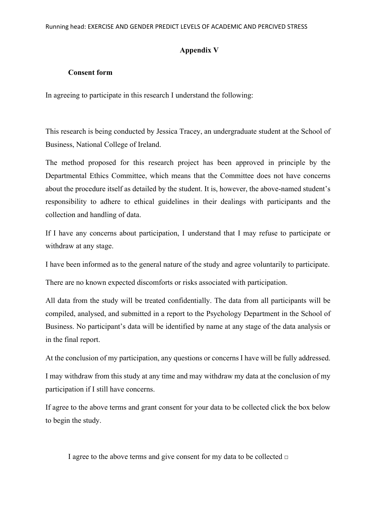## **Appendix V**

#### **Consent form**

In agreeing to participate in this research I understand the following:

This research is being conducted by Jessica Tracey, an undergraduate student at the School of Business, National College of Ireland.

The method proposed for this research project has been approved in principle by the Departmental Ethics Committee, which means that the Committee does not have concerns about the procedure itself as detailed by the student. It is, however, the above-named student's responsibility to adhere to ethical guidelines in their dealings with participants and the collection and handling of data.

If I have any concerns about participation, I understand that I may refuse to participate or withdraw at any stage.

I have been informed as to the general nature of the study and agree voluntarily to participate.

There are no known expected discomforts or risks associated with participation.

All data from the study will be treated confidentially. The data from all participants will be compiled, analysed, and submitted in a report to the Psychology Department in the School of Business. No participant's data will be identified by name at any stage of the data analysis or in the final report.

At the conclusion of my participation, any questions or concerns I have will be fully addressed.

I may withdraw from this study at any time and may withdraw my data at the conclusion of my participation if I still have concerns.

If agree to the above terms and grant consent for your data to be collected click the box below to begin the study.

I agree to the above terms and give consent for my data to be collected  $\Box$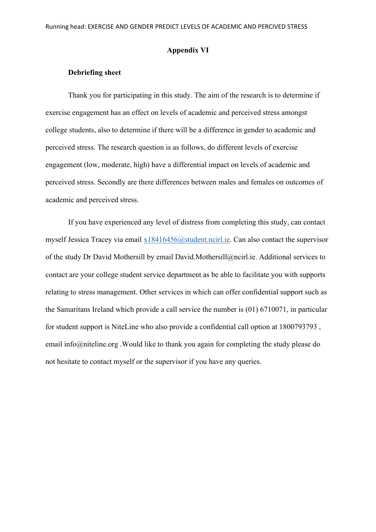#### **Appendix VI**

## **Debriefing sheet**

Thank you for participating in this study. The aim of the research is to determine if exercise engagement has an effect on levels of academic and perceived stress amongst college students, also to determine if there will be a difference in gender to academic and perceived stress. The research question is as follows, do different levels of exercise engagement (low, moderate, high) have a differential impact on levels of academic and perceived stress. Secondly are there differences between males and females on outcomes of academic and perceived stress.

If you have experienced any level of distress from completing this study, can contact myself Jessica Tracey via email [x18416456@student.ncirl.ie.](mailto:x18416456@student.ncirl.ie) Can also contact the supervisor of the study Dr David Mothersill by email David.Mothersill@ncirl.ie. Additional services to contact are your college student service department as be able to facilitate you with supports relating to stress management. Other services in which can offer confidential support such as the Samaritans Ireland which provide a call service the number is (01) 6710071, in particular for student support is NiteLine who also provide a confidential call option at 1800793793 , email info@niteline.org .Would like to thank you again for completing the study please do not hesitate to contact myself or the supervisor if you have any queries.